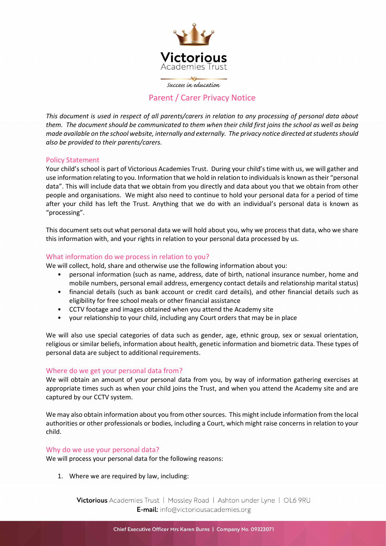

success in education

# Parent / Carer Privacy Notice

This document is used in respect of all parents/carers in relation to any processing of personal data about them. The document should be communicated to them when their child first joins the school as well as being made available on the school website, internally and externally. The privacy notice directed at students should also be provided to their parents/carers.

# Policy Statement

Your child's school is part of Victorious Academies Trust. During your child's time with us, we will gather and use information relating to you. Information that we hold in relation to individuals is known as their "personal data". This will include data that we obtain from you directly and data about you that we obtain from other people and organisations. We might also need to continue to hold your personal data for a period of time after your child has left the Trust. Anything that we do with an individual's personal data is known as "processing".

This document sets out what personal data we will hold about you, why we process that data, who we share this information with, and your rights in relation to your personal data processed by us.

# What information do we process in relation to you?

We will collect, hold, share and otherwise use the following information about you:

- personal information (such as name, address, date of birth, national insurance number, home and mobile numbers, personal email address, emergency contact details and relationship marital status)
- financial details (such as bank account or credit card details), and other financial details such as eligibility for free school meals or other financial assistance
- CCTV footage and images obtained when you attend the Academy site
- your relationship to your child, including any Court orders that may be in place

We will also use special categories of data such as gender, age, ethnic group, sex or sexual orientation, religious or similar beliefs, information about health, genetic information and biometric data. These types of personal data are subject to additional requirements.

### Where do we get your personal data from?

We will obtain an amount of your personal data from you, by way of information gathering exercises at appropriate times such as when your child joins the Trust, and when you attend the Academy site and are captured by our CCTV system.

We may also obtain information about you from other sources. This might include information from the local authorities or other professionals or bodies, including a Court, which might raise concerns in relation to your child.

### Why do we use your personal data?

We will process your personal data for the following reasons:

1. Where we are required by law, including:

Victorious Academies Trust | Mossley Road | Ashton under Lyne | OL6 9RU E-mail: info@victoriousacademies.org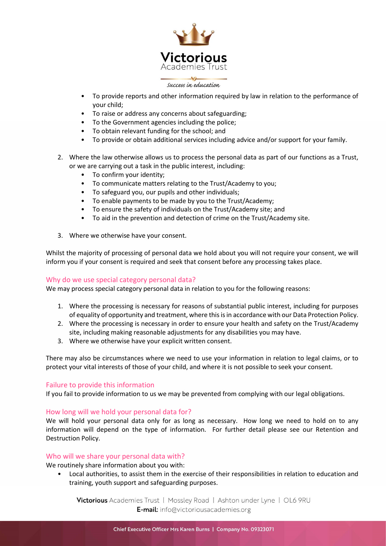

#### success in education

- To provide reports and other information required by law in relation to the performance of your child;
- To raise or address any concerns about safeguarding;
- To the Government agencies including the police;
- To obtain relevant funding for the school; and
- To provide or obtain additional services including advice and/or support for your family.
- 2. Where the law otherwise allows us to process the personal data as part of our functions as a Trust, or we are carrying out a task in the public interest, including:
	- To confirm your identity;
	- To communicate matters relating to the Trust/Academy to you;
	- To safeguard you, our pupils and other individuals;
	- To enable payments to be made by you to the Trust/Academy;
	- To ensure the safety of individuals on the Trust/Academy site; and
	- To aid in the prevention and detection of crime on the Trust/Academy site.
- 3. Where we otherwise have your consent.

Whilst the majority of processing of personal data we hold about you will not require your consent, we will inform you if your consent is required and seek that consent before any processing takes place.

### Why do we use special category personal data?

We may process special category personal data in relation to you for the following reasons:

- 1. Where the processing is necessary for reasons of substantial public interest, including for purposes of equality of opportunity and treatment, where this is in accordance with our Data Protection Policy.
- 2. Where the processing is necessary in order to ensure your health and safety on the Trust/Academy site, including making reasonable adjustments for any disabilities you may have.
- 3. Where we otherwise have your explicit written consent.

There may also be circumstances where we need to use your information in relation to legal claims, or to protect your vital interests of those of your child, and where it is not possible to seek your consent.

### Failure to provide this information

If you fail to provide information to us we may be prevented from complying with our legal obligations.

### How long will we hold your personal data for?

We will hold your personal data only for as long as necessary. How long we need to hold on to any information will depend on the type of information. For further detail please see our Retention and Destruction Policy.

### Who will we share your personal data with?

We routinely share information about you with:

• Local authorities, to assist them in the exercise of their responsibilities in relation to education and training, youth support and safeguarding purposes.

Victorious Academies Trust | Mossley Road | Ashton under Lyne | OL6 9RU E-mail: info@victoriousacademies.org